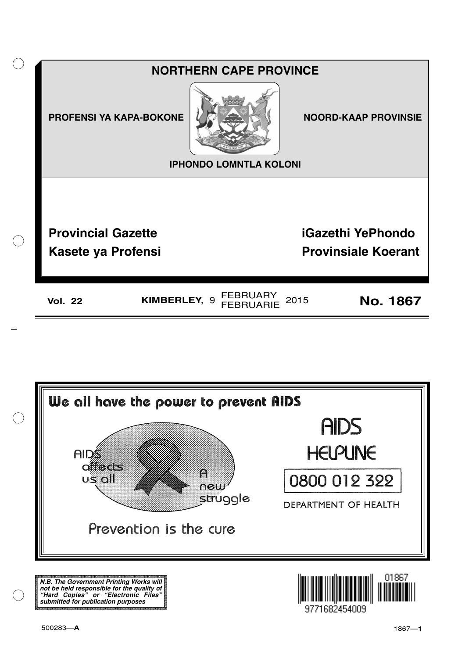



**N.B. The Government Printing Works will not be held responsible for the quality of "Hard Copies" or "Electronic Files" submitted for publication purposes**

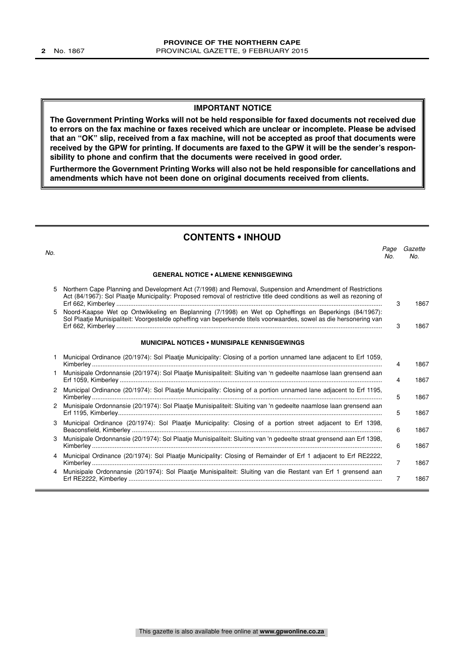#### **IMPORTANT NOTICE**

**The Government Printing Works will not be held responsible for faxed documents not received due to errors on the fax machine or faxes received which are unclear or incomplete. Please be advised that an "OK" slip, received from a fax machine, will not be accepted as proof that documents were received by the GPW for printing. If documents are faxed to the GPW it will be the sender's responsibility to phone and confirm that the documents were received in good order.**

**Furthermore the Government Printing Works will also not be held responsible for cancellations and amendments which have not been done on original documents received from clients.**

### **CONTENTS • INHOUD**

| No. |                                                                                                                                                                                                                                    | Page<br>No. | Gazette<br>No. |
|-----|------------------------------------------------------------------------------------------------------------------------------------------------------------------------------------------------------------------------------------|-------------|----------------|
|     | <b>GENERAL NOTICE • ALMENE KENNISGEWING</b>                                                                                                                                                                                        |             |                |
| 5   | Northern Cape Planning and Development Act (7/1998) and Removal, Suspension and Amendment of Restrictions<br>Act (84/1967): Sol Plaatje Municipality: Proposed removal of restrictive title deed conditions as well as rezoning of | 3           | 1867           |
| 5   | Noord-Kaapse Wet op Ontwikkeling en Beplanning (7/1998) en Wet op Opheffings en Beperkings (84/1967):<br>Sol Plaatje Munisipaliteit: Voorgestelde opheffing van beperkende titels voorwaardes, sowel as die hersonering van        | 3           | 1867           |
|     | <b>MUNICIPAL NOTICES • MUNISIPALE KENNISGEWINGS</b>                                                                                                                                                                                |             |                |
|     | Municipal Ordinance (20/1974): Sol Plaatje Municipality: Closing of a portion unnamed lane adjacent to Erf 1059,                                                                                                                   | 4           | 1867           |
| 1   | Munisipale Ordonnansie (20/1974): Sol Plaatje Munisipaliteit: Sluiting van 'n gedeelte naamlose laan grensend aan                                                                                                                  | 4           | 1867           |
| 2   | Municipal Ordinance (20/1974): Sol Plaatje Municipality: Closing of a portion unnamed lane adjacent to Erf 1195,                                                                                                                   | 5           | 1867           |
| 2   | Munisipale Ordonnansie (20/1974): Sol Plaatje Munisipaliteit: Sluiting van 'n gedeelte naamlose laan grensend aan                                                                                                                  | 5           | 1867           |
| 3   | Municipal Ordinance (20/1974): Sol Plaatje Municipality: Closing of a portion street adjacent to Erf 1398,                                                                                                                         | 6           | 1867           |
| З   | Munisipale Ordonnansie (20/1974): Sol Plaatje Munisipaliteit: Sluiting van 'n gedeelte straat grensend aan Erf 1398,                                                                                                               | 6           | 1867           |
| 4   | Municipal Ordinance (20/1974): Sol Plaatje Municipality: Closing of Remainder of Erf 1 adjacent to Erf RE2222,                                                                                                                     | 7           | 1867           |
| 4   | Munisipale Ordonnansie (20/1974): Sol Plaatje Munisipaliteit: Sluiting van die Restant van Erf 1 grensend aan                                                                                                                      | 7           | 1867           |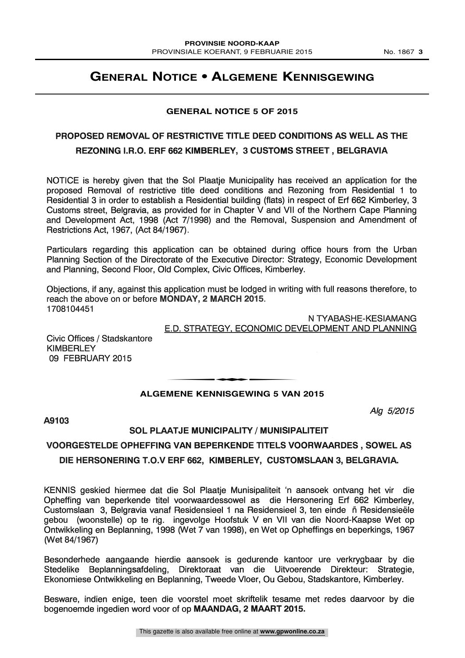### **GENERAL NOTICE 5 OF 2015**

### PROPOSED REMOVAL OF RESTRICTIVE TITLE DEED CONDITIONS AS WELL AS THE REZONING I.R.O. ERF 662 KIMBERLEY, 3 CUSTOMS STREET , BELGRAVIA

NOTICE is hereby given that the Sol Plaatje Municipality has received an application for the proposed Removal of restrictive title deed conditions and Rezoning from Residential <sup>1</sup> to Residential 3 in order to establish a Residential building (flats) in respect of Erf 662 Kimberley, 3 Customs street, Belgravia, as provided for in Chapter V and VII of the Northern Cape Planning and Development Act, 1998 (Act 7/1998) and the Removal, Suspension and Amendment of Restrictions Act, 1967, (Act 84/1967).

Particulars regarding this application can be obtained during office hours from the Urban Planning Section of the Directorate of the Executive Director: Strategy, Economic Development and Planning, Second Floor, Old Complex, Civic Offices, Kimberley.

Objections, if any, against this application must be lodged in writing with full reasons therefore, to reach the above on or before MONDAY, 2 MARCH 2015. 1708104451

> N TYABASHE-KESIAMANG E.D. STRATEGY, ECONOMIC DEVELOPMENT AND PLANNING

Civic Offices / Stadskantore **KIMBERLEY** 09 FEBRUARY 2015

## **ALGEMENE KENNISGEWING 5 VAN 2015** MENE KENNIGGEWING E VAN

Alg 5/2015

### A9103

### SOL PLAATJE MUNICIPALITY / MUNISIPALITEIT

### VOORGESTELDE OPHEFFING VAN BEPERKENDE TITELS VOORWAARDES , SOWEL AS DIE HERSONERING T.O.V ERF 662, KIMBERLEY, CUSTOMSLAAN 3, BELGRAVIA.

KENNIS geskied hiermee dat die Sol Plaatje Munisipaliteit 'n aansoek ontvang het vir die Opheffing van beperkende titel voorwaardessowel as die Hersonering Erf 662 Kimberley, Customslaan 3, Belgravia vanaf Residensieel 1 na Residensieel 3, ten einde fi Residensieele gebou (woonstelle) op to rig. ingevolge Hoofstuk V en VII van die Noord-Kaapse Wet op Ontwikkeling en Beplanning, 1998 (Wet 7 van 1998), en Wet op Opheffings en beperkings, 1967 (Wet 84/1967)

Besonderhede aangaande hierdie aansoek is gedurende kantoor ure verkrygbaar by die Stedelike Beplanningsafdeling, Direktoraat van die Uitvoerende Direkteur: Strategie, Ekonomiese Ontwikkeling en Beplanning, Tweede Vloer, Ou Gebou, Stadskantore, Kimberley.

Besware, indien enige, teen die voorstel moet skriftelik tesame met redes daarvoor by die bogenoemde ingedien word voor of op MAANDAG, 2 MAART 2015.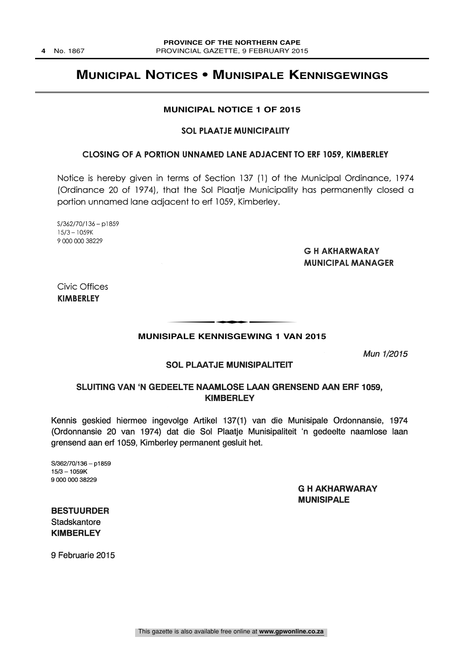### **MUNICIPAL NOTICES • MUNISIPALE KENNISGEWINGS**

### **MUNICIPAL NOTICE 1 OF 2015**

### SOL PLAATJE MUNICIPALITY

#### CLOSING OF A PORTION UNNAMED LANE ADJACENT TO ERF 1059, KIMBERLEY

Notice is hereby given in terms of Section 137 (1) of the Municipal Ordinance, 1974 (Ordinance 20 of 1974), that the Sol Plaatje Municipality has permanently closed a portion unnamed lane adjacent to erf 1059, Kimberley.

S/362/70/136 - p1859 15/3-1059K 9 000 000 38229

### G H AKHARWARAY MUNICIPAL MANAGER

Civic Offices KIMBERLEY

## **MUNISIPALE KENNISGEWING 1 VAN 2015** t

Mun 1/2015

### **SOL PLAATJE MUNISIPALITEIT**

### SLUITING VAN 'N GEDEELTE NAAMLOSE LAAN GRENSEND AAN ERF 1059, **KIMBERLEY**

Kennis geskied hiermee ingevolge Artikel 137(1) van die Munisipale Ordonnansie, 1974 (Ordonnansie 20 van 1974) dat die Sol Plaatje Munisipaliteit 'n gedeelte naamlose Iaan grensend aan erf 1059, Kimberley permanent gesluit het.

S/362/70/136 - p1859  $15/3 - 1059K$ 9 000 000 38229

### G H AKHARWARAY MUNISIPALE

BESTUURDER **Stadskantore** KIMBERLEY

9 Februarie 2015

This gazette is also available free online at **www.gpwonline.co.za**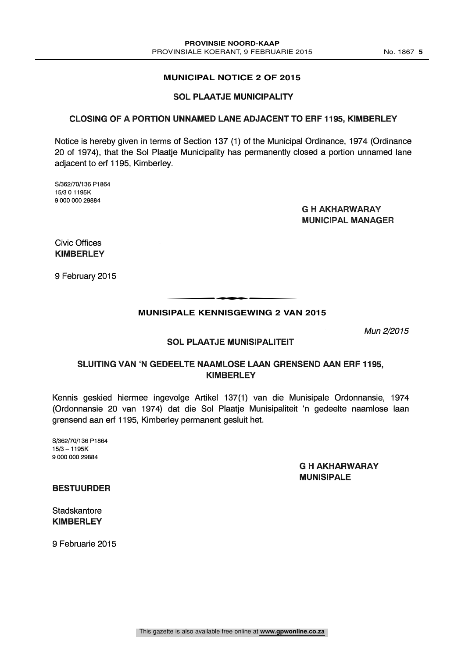### **MUNICIPAL NOTICE 2 OF 2015**

### SOL PLAATJE MUNICIPALITY

### CLOSING OF A PORTION UNNAMED LANE ADJACENT TO ERF 1195, KIMBERLEY

Notice is hereby given in terms of Section 137 (1) of the Municipal Ordinance, 1974 (Ordinance 20 of 1974), that the Sol Plaatje Municipality has permanently closed a portion unnamed lane adjacent to ert 1195, Kimberley.

S/362/70/136 P1864 15/3 0 1195K 9 000 000 29884

> G H AKHARWARAY MUNICIPAL MANAGER

Civic Offices KIMBERLEY

9 February 2015

## **MUNISIPALE KENNISGEWING 2 VAN 2015** t

Mun 2/2015

### SOL PLAATJE MUNISIPALITEIT

### SLUITING VAN GEDEELTE NAAMLOSE LAAN GRENSEND AAN ERF 1195, **KIMBERLEY**

Kennis geskied hiermee ingevolge Artikel 137(1) van die Munisipale Ordonnansie, 1974 (Ordonnansie 20 van 1974) dat die Sol Plaatje Munisipaliteit 'n gedeelte naamlose Iaan grensend aan erf 1195, Kimberley permanent gesluit het.

S/362/70/136 P1864  $15/3 - 1195K$ 9 000 000 29884

### G H AKHARWARAY MUNISIPALE

### BESTUURDER

**Stadskantore** KIMBERLEY

9 Februarie 2015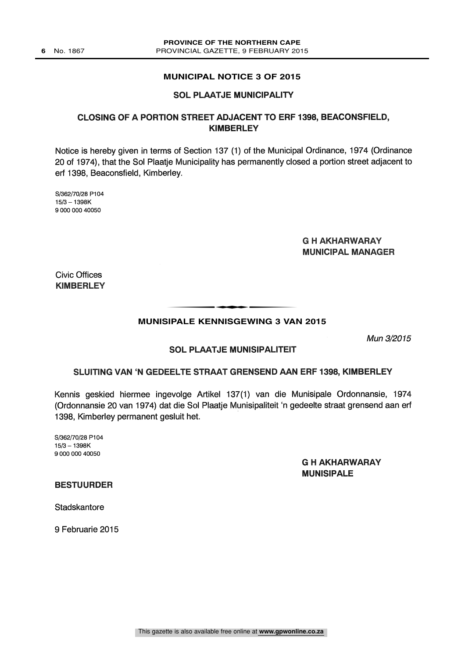### **MUNICIPAL NOTICE 3 OF 2015**

### SOL PLAATJE MUNICIPALITY

### CLOSING OF A PORTION STREET ADJACENT TO ERF 1398, BEACONSFIELD, KIMBERLEY

Notice is hereby given in terms of Section 137 (1) of the Municipal Ordinance, 1974 (Ordinance 20 of 1974), that the Sol Plaatje Municipality has permanently closed a portion street adjacent to erf 1398, Beaconsfield, Kimberley.

S/362/70/28 P104  $15/3 - 1398K$ 9 000 000 40050

### G H AKHARWARAY MUNICIPAL MANAGER

Civic Offices **KIMBERLEY** 

TRALE KENNIGGEWING 2 VAL

### **MUNISIPALE KENNISGEWING 3 VAN 2015**

Mun 3/2015

### SOL PLAATJE MUNISIPALITEIT

### SLUITING VAN 'N GEDEELTE STRAAT GRENSEND AAN ERF 1398, KIMBERLEY

Kennis geskied hiermee ingevolge Artikel 137(1) van die Munisipale Ordonnansie, 1974 (Ordonnansie 20 van 1974) dat die Sol Plaatje Munisipaliteit 'n gedeelte straat grensend aan erf 1398, Kimberley permanent gesluit het.

S/362/70/28 P104  $15/3 - 1398K$ 9 000 000 40050

> G H AKHARWARAY MUNISIPALE

BESTUURDER

**Stadskantore** 

9 Februarie 2015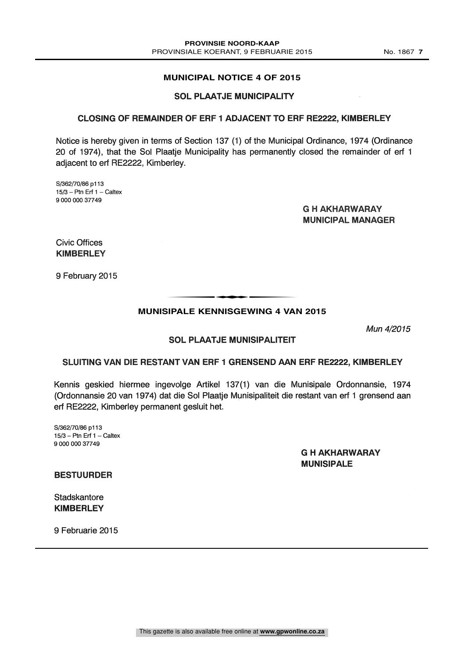### **MUNICIPAL NOTICE 4 OF 2015**

### SOL PLAATJE MUNICIPALITY

### CLOSING OF REMAINDER OF ERF 1 ADJACENT TO ERF RE2222, KIMBERLEY

Notice is hereby given in terms of Section 137 (1) of the Municipal Ordinance, 1974 (Ordinance 20 of 1974), that the Sol Plaatje Municipality has permanently closed the remainder of erf 1 adjacent to erf RE2222, Kimberley.

S/362/70/86 p113  $15/3$  - Ptn Erf  $1$  - Caltex 9 000 000 37749

> G H AKHARWARAY MUNICIPAL MANAGER

Civic Offices KIMBERLEY

9 February 2015

## **MUNISIPALE KENNISGEWING 4 VAN 2015** t

Mun 4/2015

### SLUITING VAN DIE RESTANT VAN ERF 1 GRENSEND AAN ERF RE2222, KIMBERLEY

SOL PLAATJE MUNISIPALITEIT

Kennis geskied hiermee ingevolge Artikel 137(1) van die Munisipale Ordonnansie, 1974 (Ordonnansie 20 van 1974) dat die Sol Plaatje Munisipaliteit die restant van erf 1 grensend aan erf RE2222, Kimberley permanent gesluit het.

S/362/70/86 p113  $15/3$  - Ptn Erf 1 - Caltex 9 000 000 37749

> G H AKHARWARAY MUNISIPALE

BESTUURDER

**Stadskantore** KIMBERLEY

9 Februarie 2015